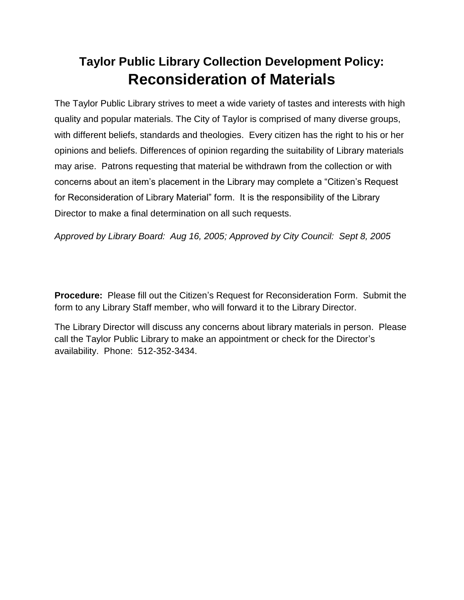## **Taylor Public Library Collection Development Policy: Reconsideration of Materials**

The Taylor Public Library strives to meet a wide variety of tastes and interests with high quality and popular materials. The City of Taylor is comprised of many diverse groups, with different beliefs, standards and theologies. Every citizen has the right to his or her opinions and beliefs. Differences of opinion regarding the suitability of Library materials may arise. Patrons requesting that material be withdrawn from the collection or with concerns about an item's placement in the Library may complete a "Citizen's Request for Reconsideration of Library Material" form. It is the responsibility of the Library Director to make a final determination on all such requests.

*Approved by Library Board: Aug 16, 2005; Approved by City Council: Sept 8, 2005*

**Procedure:** Please fill out the Citizen's Request for Reconsideration Form. Submit the form to any Library Staff member, who will forward it to the Library Director.

The Library Director will discuss any concerns about library materials in person. Please call the Taylor Public Library to make an appointment or check for the Director's availability. Phone: 512-352-3434.